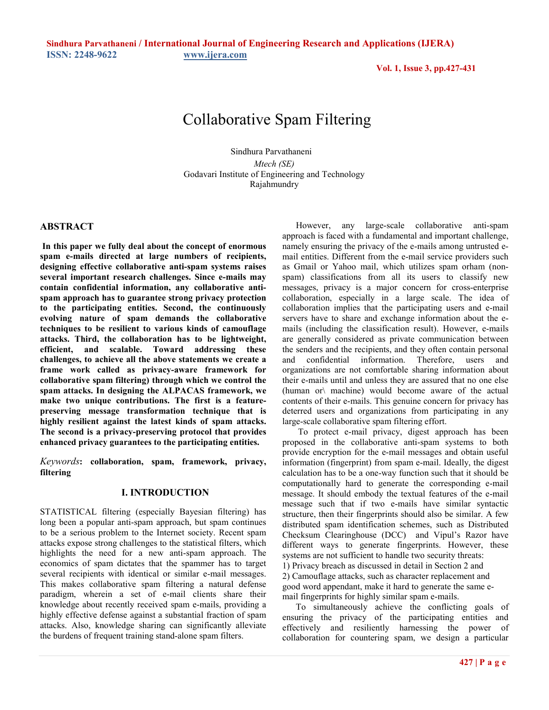**Sindhura Parvathaneni / International Journal of Engineering Research and Applications (IJERA) ISSN: 2248-9622 [www.ijera.com](http://www.ijera.com/)** 

**Vol. 1, Issue 3, pp.427-431**

# Collaborative Spam Filtering

 Sindhura Parvathaneni *Mtech (SE)*  Godavari Institute of Engineering and Technology Rajahmundry

## **ABSTRACT**

**In this paper we fully deal about the concept of enormous spam e-mails directed at large numbers of recipients, designing effective collaborative anti-spam systems raises several important research challenges. Since e-mails may contain confidential information, any collaborative antispam approach has to guarantee strong privacy protection to the participating entities. Second, the continuously evolving nature of spam demands the collaborative techniques to be resilient to various kinds of camouflage attacks. Third, the collaboration has to be lightweight, efficient, and scalable. Toward addressing these challenges, to achieve all the above statements we create a frame work called as privacy-aware framework for collaborative spam filtering) through which we control the spam attacks. In designing the ALPACAS framework, we make two unique contributions. The first is a featurepreserving message transformation technique that is highly resilient against the latest kinds of spam attacks. The second is a privacy-preserving protocol that provides enhanced privacy guarantees to the participating entities.** 

*Keywords***: collaboration, spam, framework, privacy, filtering**

### **I. INTRODUCTION**

STATISTICAL filtering (especially Bayesian filtering) has long been a popular anti-spam approach, but spam continues to be a serious problem to the Internet society. Recent spam attacks expose strong challenges to the statistical filters, which highlights the need for a new anti-spam approach. The economics of spam dictates that the spammer has to target several recipients with identical or similar e-mail messages. This makes collaborative spam filtering a natural defense paradigm, wherein a set of e-mail clients share their knowledge about recently received spam e-mails, providing a highly effective defense against a substantial fraction of spam attacks. Also, knowledge sharing can significantly alleviate the burdens of frequent training stand-alone spam filters.

 However, any large-scale collaborative anti-spam approach is faced with a fundamental and important challenge, namely ensuring the privacy of the e-mails among untrusted email entities. Different from the e-mail service providers such as Gmail or Yahoo mail, which utilizes spam orham (nonspam) classifications from all its users to classify new messages, privacy is a major concern for cross-enterprise collaboration, especially in a large scale. The idea of collaboration implies that the participating users and e-mail servers have to share and exchange information about the emails (including the classification result). However, e-mails are generally considered as private communication between the senders and the recipients, and they often contain personal and confidential information. Therefore, users and organizations are not comfortable sharing information about their e-mails until and unless they are assured that no one else (human or\ machine) would become aware of the actual contents of their e-mails. This genuine concern for privacy has deterred users and organizations from participating in any large-scale collaborative spam filtering effort.

 To protect e-mail privacy, digest approach has been proposed in the collaborative anti-spam systems to both provide encryption for the e-mail messages and obtain useful information (fingerprint) from spam e-mail. Ideally, the digest calculation has to be a one-way function such that it should be computationally hard to generate the corresponding e-mail message. It should embody the textual features of the e-mail message such that if two e-mails have similar syntactic structure, then their fingerprints should also be similar. A few distributed spam identification schemes, such as Distributed Checksum Clearinghouse (DCC) and Vipul's Razor have different ways to generate fingerprints. However, these systems are not sufficient to handle two security threats: 1) Privacy breach as discussed in detail in Section 2 and 2) Camouflage attacks, such as character replacement and good word appendant, make it hard to generate the same email fingerprints for highly similar spam e-mails.

 To simultaneously achieve the conflicting goals of ensuring the privacy of the participating entities and effectively and resiliently harnessing the power of collaboration for countering spam, we design a particular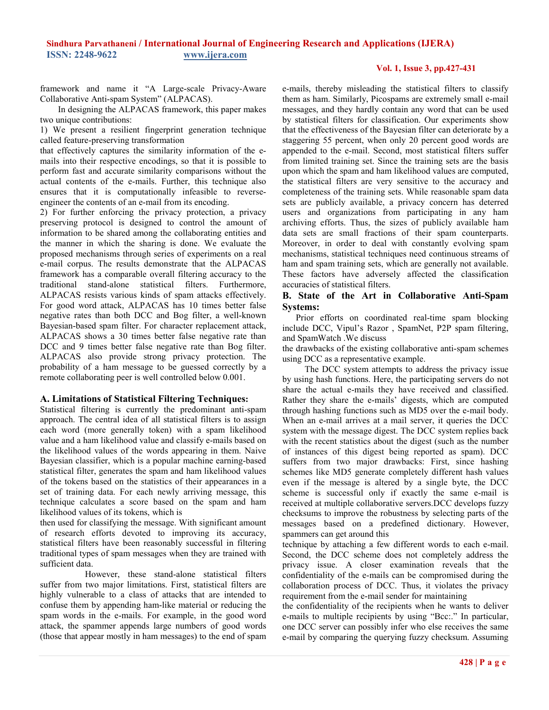# **Vol. 1, Issue 3, pp.427-431**

framework and name it "A Large-scale Privacy-Aware Collaborative Anti-spam System" (ALPACAS).

 In designing the ALPACAS framework, this paper makes two unique contributions:

1) We present a resilient fingerprint generation technique called feature-preserving transformation

that effectively captures the similarity information of the emails into their respective encodings, so that it is possible to perform fast and accurate similarity comparisons without the actual contents of the e-mails. Further, this technique also ensures that it is computationally infeasible to reverseengineer the contents of an e-mail from its encoding.

2) For further enforcing the privacy protection, a privacy preserving protocol is designed to control the amount of information to be shared among the collaborating entities and the manner in which the sharing is done. We evaluate the proposed mechanisms through series of experiments on a real e-mail corpus. The results demonstrate that the ALPACAS framework has a comparable overall filtering accuracy to the traditional stand-alone statistical filters. Furthermore, ALPACAS resists various kinds of spam attacks effectively. For good word attack, ALPACAS has 10 times better false negative rates than both DCC and Bog filter, a well-known Bayesian-based spam filter. For character replacement attack, ALPACAS shows a 30 times better false negative rate than DCC and 9 times better false negative rate than Bog filter. ALPACAS also provide strong privacy protection. The probability of a ham message to be guessed correctly by a remote collaborating peer is well controlled below 0.001.

## **A. Limitations of Statistical Filtering Techniques:**

Statistical filtering is currently the predominant anti-spam approach. The central idea of all statistical filters is to assign each word (more generally token) with a spam likelihood value and a ham likelihood value and classify e-mails based on the likelihood values of the words appearing in them. Naive Bayesian classifier, which is a popular machine earning-based statistical filter, generates the spam and ham likelihood values of the tokens based on the statistics of their appearances in a set of training data. For each newly arriving message, this technique calculates a score based on the spam and ham likelihood values of its tokens, which is

then used for classifying the message. With significant amount of research efforts devoted to improving its accuracy, statistical filters have been reasonably successful in filtering traditional types of spam messages when they are trained with sufficient data.

 However, these stand-alone statistical filters suffer from two major limitations. First, statistical filters are highly vulnerable to a class of attacks that are intended to confuse them by appending ham-like material or reducing the spam words in the e-mails. For example, in the good word attack, the spammer appends large numbers of good words (those that appear mostly in ham messages) to the end of spam

e-mails, thereby misleading the statistical filters to classify them as ham. Similarly, Picospams are extremely small e-mail messages, and they hardly contain any word that can be used by statistical filters for classification. Our experiments show that the effectiveness of the Bayesian filter can deteriorate by a staggering 55 percent, when only 20 percent good words are appended to the e-mail. Second, most statistical filters suffer from limited training set. Since the training sets are the basis upon which the spam and ham likelihood values are computed, the statistical filters are very sensitive to the accuracy and completeness of the training sets. While reasonable spam data sets are publicly available, a privacy concern has deterred users and organizations from participating in any ham archiving efforts. Thus, the sizes of publicly available ham data sets are small fractions of their spam counterparts. Moreover, in order to deal with constantly evolving spam mechanisms, statistical techniques need continuous streams of ham and spam training sets, which are generally not available. These factors have adversely affected the classification accuracies of statistical filters.

# **B. State of the Art in Collaborative Anti-Spam Systems:**

 Prior efforts on coordinated real-time spam blocking include DCC, Vipul's Razor , SpamNet, P2P spam filtering, and SpamWatch .We discuss

the drawbacks of the existing collaborative anti-spam schemes using DCC as a representative example.

 The DCC system attempts to address the privacy issue by using hash functions. Here, the participating servers do not share the actual e-mails they have received and classified. Rather they share the e-mails' digests, which are computed through hashing functions such as MD5 over the e-mail body. When an e-mail arrives at a mail server, it queries the DCC system with the message digest. The DCC system replies back with the recent statistics about the digest (such as the number of instances of this digest being reported as spam). DCC suffers from two major drawbacks: First, since hashing schemes like MD5 generate completely different hash values even if the message is altered by a single byte, the DCC scheme is successful only if exactly the same e-mail is received at multiple collaborative servers.DCC develops fuzzy checksums to improve the robustness by selecting parts of the messages based on a predefined dictionary. However, spammers can get around this

technique by attaching a few different words to each e-mail. Second, the DCC scheme does not completely address the privacy issue. A closer examination reveals that the confidentiality of the e-mails can be compromised during the collaboration process of DCC. Thus, it violates the privacy requirement from the e-mail sender for maintaining

the confidentiality of the recipients when he wants to deliver e-mails to multiple recipients by using "Bcc:." In particular, one DCC server can possibly infer who else receives the same e-mail by comparing the querying fuzzy checksum. Assuming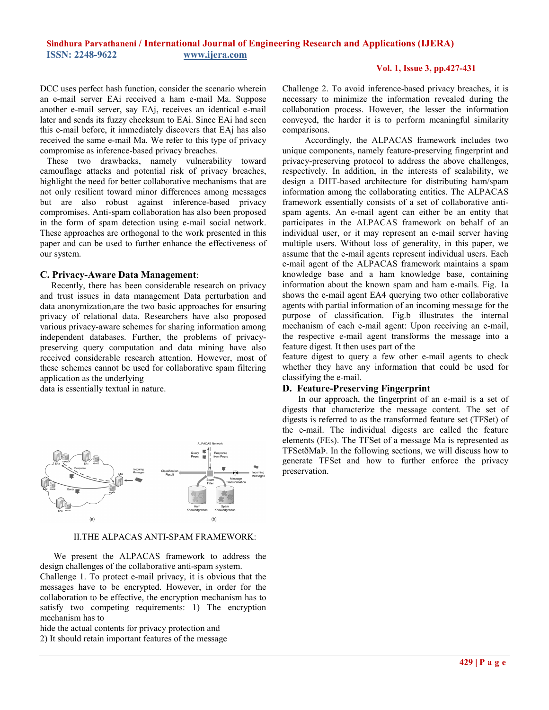# **Sindhura Parvathaneni / International Journal of Engineering Research and Applications (IJERA) ISSN: 2248-9622 www.ijera.com**

## **Vol. 1, Issue 3, pp.427-431**

DCC uses perfect hash function, consider the scenario wherein an e-mail server EAi received a ham e-mail Ma. Suppose another e-mail server, say EAj, receives an identical e-mail later and sends its fuzzy checksum to EAi. Since EAi had seen this e-mail before, it immediately discovers that EAj has also received the same e-mail Ma. We refer to this type of privacy compromise as inference-based privacy breaches.

 These two drawbacks, namely vulnerability toward camouflage attacks and potential risk of privacy breaches, highlight the need for better collaborative mechanisms that are not only resilient toward minor differences among messages but are also robust against inference-based privacy compromises. Anti-spam collaboration has also been proposed in the form of spam detection using e-mail social network. These approaches are orthogonal to the work presented in this paper and can be used to further enhance the effectiveness of our system.

## **C. Privacy-Aware Data Management**:

 Recently, there has been considerable research on privacy and trust issues in data management Data perturbation and data anonymization,are the two basic approaches for ensuring privacy of relational data. Researchers have also proposed various privacy-aware schemes for sharing information among independent databases. Further, the problems of privacypreserving query computation and data mining have also received considerable research attention. However, most of these schemes cannot be used for collaborative spam filtering application as the underlying

data is essentially textual in nature.



#### II.THE ALPACAS ANTI-SPAM FRAMEWORK:

 We present the ALPACAS framework to address the design challenges of the collaborative anti-spam system.

Challenge 1. To protect e-mail privacy, it is obvious that the messages have to be encrypted. However, in order for the collaboration to be effective, the encryption mechanism has to satisfy two competing requirements: 1) The encryption mechanism has to

hide the actual contents for privacy protection and 2) It should retain important features of the message Challenge 2. To avoid inference-based privacy breaches, it is necessary to minimize the information revealed during the collaboration process. However, the lesser the information conveyed, the harder it is to perform meaningful similarity comparisons.

 Accordingly, the ALPACAS framework includes two unique components, namely feature-preserving fingerprint and privacy-preserving protocol to address the above challenges, respectively. In addition, in the interests of scalability, we design a DHT-based architecture for distributing ham/spam information among the collaborating entities. The ALPACAS framework essentially consists of a set of collaborative antispam agents. An e-mail agent can either be an entity that participates in the ALPACAS framework on behalf of an individual user, or it may represent an e-mail server having multiple users. Without loss of generality, in this paper, we assume that the e-mail agents represent individual users. Each e-mail agent of the ALPACAS framework maintains a spam knowledge base and a ham knowledge base, containing information about the known spam and ham e-mails. Fig. 1a shows the e-mail agent EA4 querying two other collaborative agents with partial information of an incoming message for the purpose of classification. Fig.b illustrates the internal mechanism of each e-mail agent: Upon receiving an e-mail, the respective e-mail agent transforms the message into a feature digest. It then uses part of the

feature digest to query a few other e-mail agents to check whether they have any information that could be used for classifying the e-mail.

## **D. Feature-Preserving Fingerprint**

 In our approach, the fingerprint of an e-mail is a set of digests that characterize the message content. The set of digests is referred to as the transformed feature set (TFSet) of the e-mail. The individual digests are called the feature elements (FEs). The TFSet of a message Ma is represented as TFSetðMaÞ. In the following sections, we will discuss how to generate TFSet and how to further enforce the privacy preservation.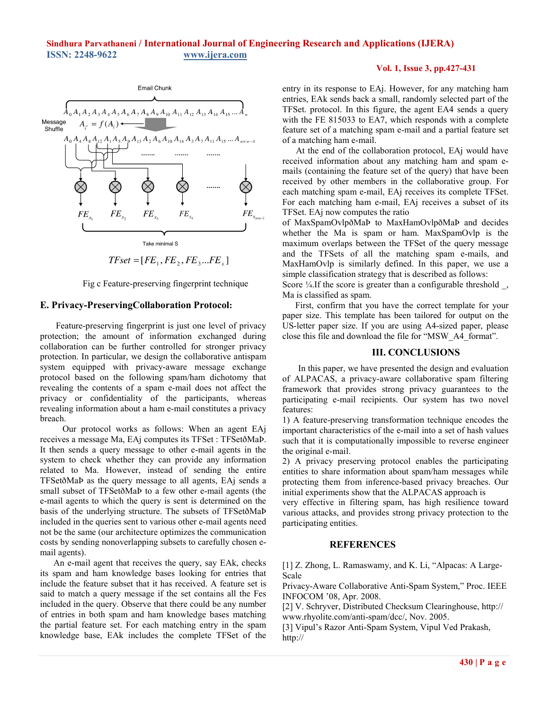

 $TFset = [FE_1, FE_2, FE_3...FE_s]$ 

Fig c Feature-preserving fingerprint technique

## **E. Privacy-PreservingCollaboration Protocol:**

 Feature-preserving fingerprint is just one level of privacy protection; the amount of information exchanged during collaboration can be further controlled for stronger privacy protection. In particular, we design the collaborative antispam system equipped with privacy-aware message exchange protocol based on the following spam/ham dichotomy that revealing the contents of a spam e-mail does not affect the privacy or confidentiality of the participants, whereas revealing information about a ham e-mail constitutes a privacy breach.

 Our protocol works as follows: When an agent EAj receives a message Ma, EAj computes its TFSet : TFSetðMaÞ. It then sends a query message to other e-mail agents in the system to check whether they can provide any information related to Ma. However, instead of sending the entire TFSetðMaÞ as the query message to all agents, EAj sends a small subset of TFSetðMaÞ to a few other e-mail agents (the e-mail agents to which the query is sent is determined on the basis of the underlying structure. The subsets of TFSetðMaÞ included in the queries sent to various other e-mail agents need not be the same (our architecture optimizes the communication costs by sending nonoverlapping subsets to carefully chosen email agents).

 An e-mail agent that receives the query, say EAk, checks its spam and ham knowledge bases looking for entries that include the feature subset that it has received. A feature set is said to match a query message if the set contains all the Fes included in the query. Observe that there could be any number of entries in both spam and ham knowledge bases matching the partial feature set. For each matching entry in the spam knowledge base, EAk includes the complete TFSet of the

## **Vol. 1, Issue 3, pp.427-431**

entry in its response to EAj. However, for any matching ham entries, EAk sends back a small, randomly selected part of the TFSet. protocol. In this figure, the agent EA4 sends a query with the FE 815033 to EA7, which responds with a complete feature set of a matching spam e-mail and a partial feature set of a matching ham e-mail.

 At the end of the collaboration protocol, EAj would have received information about any matching ham and spam emails (containing the feature set of the query) that have been received by other members in the collaborative group. For each matching spam e-mail, EAj receives its complete TFSet. For each matching ham e-mail, EAj receives a subset of its TFSet. EAj now computes the ratio

of MaxSpamOvlpðMaÞ to MaxHamOvlpðMaÞ and decides whether the Ma is spam or ham. MaxSpamOvlp is the maximum overlaps between the TFSet of the query message and the TFSets of all the matching spam e-mails, and MaxHamOvlp is similarly defined. In this paper, we use a simple classification strategy that is described as follows:

Score ¼.If the score is greater than a configurable threshold, Ma is classified as spam.

First, confirm that you have the correct template for your paper size. This template has been tailored for output on the US-letter paper size. If you are using A4-sized paper, please close this file and download the file for "MSW\_A4\_format".

## **III. CONCLUSIONS**

 In this paper, we have presented the design and evaluation of ALPACAS, a privacy-aware collaborative spam filtering framework that provides strong privacy guarantees to the participating e-mail recipients. Our system has two novel features:

1) A feature-preserving transformation technique encodes the important characteristics of the e-mail into a set of hash values such that it is computationally impossible to reverse engineer the original e-mail.

2) A privacy preserving protocol enables the participating entities to share information about spam/ham messages while protecting them from inference-based privacy breaches. Our initial experiments show that the ALPACAS approach is

very effective in filtering spam, has high resilience toward various attacks, and provides strong privacy protection to the participating entities.

## **REFERENCES**

[1] Z. Zhong, L. Ramaswamy, and K. Li, "Alpacas: A Large-Scale

Privacy-Aware Collaborative Anti-Spam System," Proc. IEEE INFOCOM '08, Apr. 2008.

[2] V. Schryver, Distributed Checksum Clearinghouse, http:// www.rhyolite.com/anti-spam/dcc/, Nov. 2005.

[3] Vipul's Razor Anti-Spam System, Vipul Ved Prakash, http://